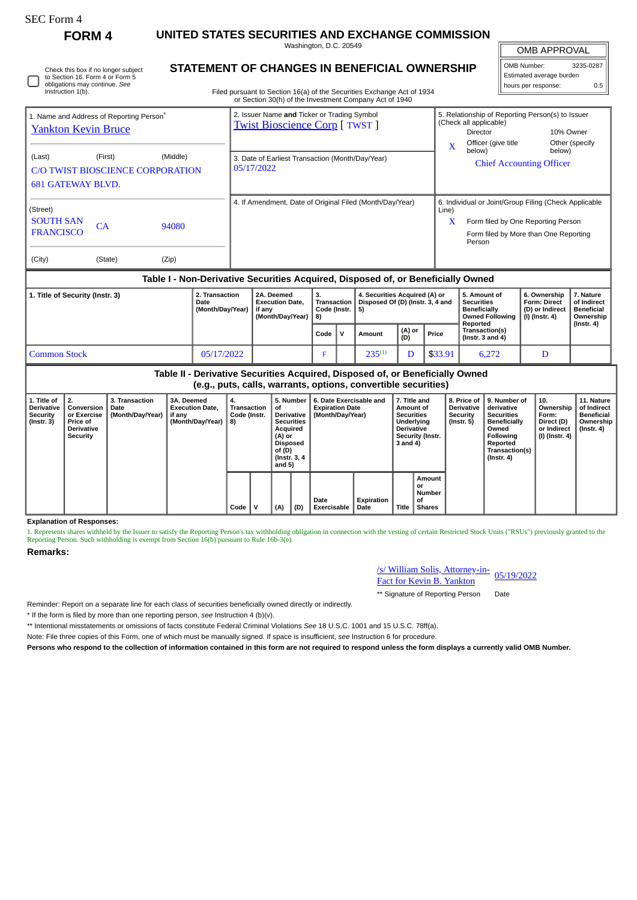| <b>SEC Form 4</b>                                                                                                            | FORM <sub>4</sub>                                                                                                                                                |  |                                                                                              |                                                                                      |                                                                                  |                                                                                                                                                                                  | UNITED STATES SECURITIES AND EXCHANGE COMMISSION                                                                                                |   |                                                                         |                                                                                                                   |               |                                                                                                                                                                                         |                                                                                                                                      |                                                                                                            |                                                                                 |                  |
|------------------------------------------------------------------------------------------------------------------------------|------------------------------------------------------------------------------------------------------------------------------------------------------------------|--|----------------------------------------------------------------------------------------------|--------------------------------------------------------------------------------------|----------------------------------------------------------------------------------|----------------------------------------------------------------------------------------------------------------------------------------------------------------------------------|-------------------------------------------------------------------------------------------------------------------------------------------------|---|-------------------------------------------------------------------------|-------------------------------------------------------------------------------------------------------------------|---------------|-----------------------------------------------------------------------------------------------------------------------------------------------------------------------------------------|--------------------------------------------------------------------------------------------------------------------------------------|------------------------------------------------------------------------------------------------------------|---------------------------------------------------------------------------------|------------------|
| Washington, D.C. 20549                                                                                                       |                                                                                                                                                                  |  |                                                                                              |                                                                                      |                                                                                  |                                                                                                                                                                                  |                                                                                                                                                 |   |                                                                         |                                                                                                                   | OMB APPROVAL  |                                                                                                                                                                                         |                                                                                                                                      |                                                                                                            |                                                                                 |                  |
| Check this box if no longer subject<br>to Section 16. Form 4 or Form 5<br>obligations may continue. See<br>Instruction 1(b). |                                                                                                                                                                  |  |                                                                                              |                                                                                      |                                                                                  | STATEMENT OF CHANGES IN BENEFICIAL OWNERSHIP<br>Filed pursuant to Section 16(a) of the Securities Exchange Act of 1934<br>or Section 30(h) of the Investment Company Act of 1940 |                                                                                                                                                 |   |                                                                         |                                                                                                                   |               |                                                                                                                                                                                         |                                                                                                                                      |                                                                                                            | OMB Number:<br>Estimated average burden<br>hours per response:                  | 3235-0287<br>0.5 |
| 1. Name and Address of Reporting Person <sup>®</sup><br><b>Yankton Kevin Bruce</b>                                           |                                                                                                                                                                  |  |                                                                                              | 2. Issuer Name and Ticker or Trading Symbol<br><b>Twist Bioscience Corp [ TWST ]</b> |                                                                                  |                                                                                                                                                                                  |                                                                                                                                                 |   |                                                                         |                                                                                                                   |               | 5. Relationship of Reporting Person(s) to Issuer<br>(Check all applicable)<br><b>Director</b><br>10% Owner<br>Officer (give title<br>Other (specify)<br>$\mathbf X$<br>below)<br>below) |                                                                                                                                      |                                                                                                            |                                                                                 |                  |
| (First)<br>(Middle)<br>(Last)<br><b>C/O TWIST BIOSCIENCE CORPORATION</b><br><b>681 GATEWAY BLVD.</b>                         |                                                                                                                                                                  |  |                                                                                              |                                                                                      | 3. Date of Earliest Transaction (Month/Day/Year)<br>05/17/2022                   |                                                                                                                                                                                  |                                                                                                                                                 |   |                                                                         |                                                                                                                   |               |                                                                                                                                                                                         |                                                                                                                                      |                                                                                                            | <b>Chief Accounting Officer</b>                                                 |                  |
| (Street)<br><b>SOUTH SAN</b><br>CA<br>94080<br><b>FRANCISCO</b>                                                              |                                                                                                                                                                  |  |                                                                                              |                                                                                      | 4. If Amendment, Date of Original Filed (Month/Day/Year)<br>Line)<br>X<br>Person |                                                                                                                                                                                  |                                                                                                                                                 |   |                                                                         |                                                                                                                   |               |                                                                                                                                                                                         | 6. Individual or Joint/Group Filing (Check Applicable<br>Form filed by One Reporting Person<br>Form filed by More than One Reporting |                                                                                                            |                                                                                 |                  |
| (City)<br>(State)<br>(Zip)                                                                                                   |                                                                                                                                                                  |  |                                                                                              |                                                                                      |                                                                                  |                                                                                                                                                                                  |                                                                                                                                                 |   |                                                                         |                                                                                                                   |               |                                                                                                                                                                                         |                                                                                                                                      |                                                                                                            |                                                                                 |                  |
|                                                                                                                              |                                                                                                                                                                  |  |                                                                                              |                                                                                      |                                                                                  |                                                                                                                                                                                  | Table I - Non-Derivative Securities Acquired, Disposed of, or Beneficially Owned                                                                |   |                                                                         |                                                                                                                   |               |                                                                                                                                                                                         |                                                                                                                                      |                                                                                                            |                                                                                 |                  |
| 2. Transaction<br>1. Title of Security (Instr. 3)<br>Date<br>(Month/Day/Year)                                                |                                                                                                                                                                  |  |                                                                                              |                                                                                      | 2A. Deemed<br><b>Execution Date,</b><br>if any<br>(Month/Day/Year)               |                                                                                                                                                                                  | 3.<br>Transaction<br>Code (Instr.<br>8)                                                                                                         |   | 4. Securities Acquired (A) or<br>Disposed Of (D) (Instr. 3, 4 and<br>5) |                                                                                                                   |               | <b>Securities</b><br><b>Beneficially</b>                                                                                                                                                | 5. Amount of<br><b>Owned Following</b>                                                                                               | 6. Ownership<br>Form: Direct<br>(D) or Indirect<br>(I) (Instr. 4)                                          | 7. Nature<br>of Indirect<br><b>Beneficial</b><br>Ownership                      |                  |
|                                                                                                                              |                                                                                                                                                                  |  |                                                                                              |                                                                                      |                                                                                  |                                                                                                                                                                                  |                                                                                                                                                 |   | $\mathsf{v}$                                                            | Amount                                                                                                            | (A) or<br>(D) | Price                                                                                                                                                                                   | Reported<br>Transaction(s)<br>(Instr. $3$ and $4$ )                                                                                  |                                                                                                            |                                                                                 | $($ Instr. 4 $)$ |
| 05/17/2022<br><b>Common Stock</b>                                                                                            |                                                                                                                                                                  |  |                                                                                              |                                                                                      |                                                                                  |                                                                                                                                                                                  |                                                                                                                                                 | F |                                                                         | $235^{(1)}$                                                                                                       | D             | \$33.91                                                                                                                                                                                 |                                                                                                                                      | 6,272                                                                                                      | D                                                                               |                  |
|                                                                                                                              |                                                                                                                                                                  |  |                                                                                              |                                                                                      |                                                                                  |                                                                                                                                                                                  | Table II - Derivative Securities Acquired, Disposed of, or Beneficially Owned<br>(e.g., puts, calls, warrants, options, convertible securities) |   |                                                                         |                                                                                                                   |               |                                                                                                                                                                                         |                                                                                                                                      |                                                                                                            |                                                                                 |                  |
| 1. Title of<br><b>Derivative</b><br><b>Security</b><br>$($ Instr. $3)$                                                       | 2.<br>3A. Deemed<br>3. Transaction<br>Conversion<br>Date<br>or Exercise<br>(Month/Day/Year)<br>if anv<br><b>Price of</b><br><b>Derivative</b><br><b>Security</b> |  | 4.<br><b>Execution Date,</b><br><b>Transaction</b><br>Code (Instr.<br>(Month/Day/Year)<br>8) |                                                                                      |                                                                                  | 5. Number<br>οf<br><b>Derivative</b><br><b>Securities</b><br>Acquired<br>(A) or<br><b>Disposed</b><br>of (D)<br>(Instr. 3, 4)<br>and $5)$                                        | <b>Expiration Date</b><br>(Month/Day/Year)                                                                                                      |   | 6. Date Exercisable and                                                 | 7. Title and<br>Amount of<br><b>Securities</b><br>Underlying<br><b>Derivative</b><br>Security (Instr.<br>3 and 4) |               | 8. Price of<br><b>Derivative</b><br>derivative<br>Security<br><b>Securities</b><br>$($ Instr. 5 $)$<br><b>Beneficially</b><br>Owned<br>Following<br>Reported<br>$($ Instr. 4 $)$        |                                                                                                                                      | 9. Number of<br>10.<br>Ownership<br>Form:<br>Direct (D)<br>or Indirect<br>(I) (Instr. 4)<br>Transaction(s) | 11. Nature<br>of Indirect<br><b>Beneficial</b><br>Ownership<br>$($ Instr. 4 $)$ |                  |

**Explanation of Responses:**

1. Represents shares withheld by the Issuer to satisfy the Reporting Person's tax withholding obligation in connection with the vesting of certain Restricted Stock Units ("RSUs") previously granted to the<br>Reporting Person.

**Date Exercisable**

**Expiration Date Title**

**Code V (A) (D)**

**Remarks:**

/s/ William Solis, Attorney-in-**Fact for Kevin B. Yankton** 05/19/2022

**Amount or Number of Shares**

\*\* Signature of Reporting Person Date

Reminder: Report on a separate line for each class of securities beneficially owned directly or indirectly.

\* If the form is filed by more than one reporting person, *see* Instruction 4 (b)(v).

\*\* Intentional misstatements or omissions of facts constitute Federal Criminal Violations *See* 18 U.S.C. 1001 and 15 U.S.C. 78ff(a).

Note: File three copies of this Form, one of which must be manually signed. If space is insufficient, *see* Instruction 6 for procedure.

**Persons who respond to the collection of information contained in this form are not required to respond unless the form displays a currently valid OMB Number.**